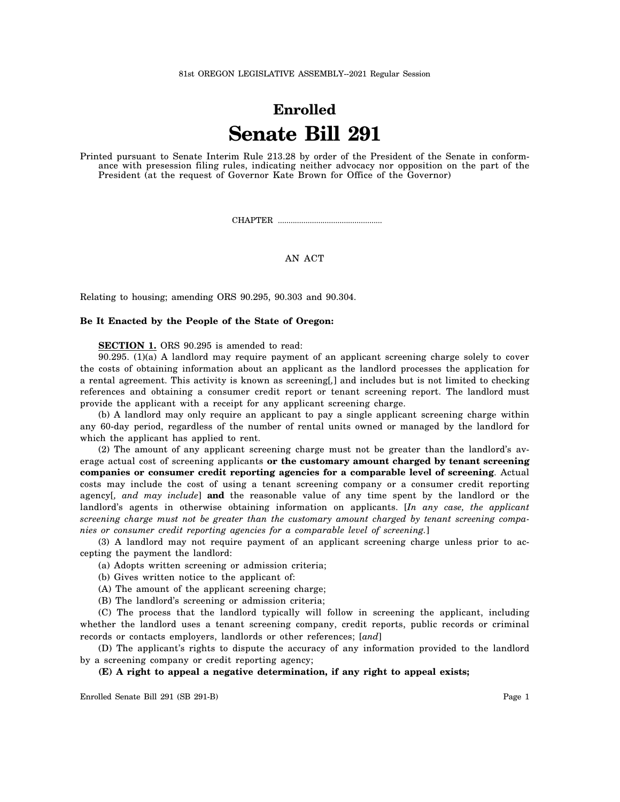81st OREGON LEGISLATIVE ASSEMBLY--2021 Regular Session

## **Enrolled Senate Bill 291**

Printed pursuant to Senate Interim Rule 213.28 by order of the President of the Senate in conformance with presession filing rules, indicating neither advocacy nor opposition on the part of the President (at the request of Governor Kate Brown for Office of the Governor)

CHAPTER .................................................

## AN ACT

Relating to housing; amending ORS 90.295, 90.303 and 90.304.

## **Be It Enacted by the People of the State of Oregon:**

**SECTION 1.** ORS 90.295 is amended to read:

90.295. (1)(a) A landlord may require payment of an applicant screening charge solely to cover the costs of obtaining information about an applicant as the landlord processes the application for a rental agreement. This activity is known as screening[*,*] and includes but is not limited to checking references and obtaining a consumer credit report or tenant screening report. The landlord must provide the applicant with a receipt for any applicant screening charge.

(b) A landlord may only require an applicant to pay a single applicant screening charge within any 60-day period, regardless of the number of rental units owned or managed by the landlord for which the applicant has applied to rent.

(2) The amount of any applicant screening charge must not be greater than the landlord's average actual cost of screening applicants **or the customary amount charged by tenant screening companies or consumer credit reporting agencies for a comparable level of screening**. Actual costs may include the cost of using a tenant screening company or a consumer credit reporting agency[*, and may include*] **and** the reasonable value of any time spent by the landlord or the landlord's agents in otherwise obtaining information on applicants. [*In any case, the applicant screening charge must not be greater than the customary amount charged by tenant screening companies or consumer credit reporting agencies for a comparable level of screening.*]

(3) A landlord may not require payment of an applicant screening charge unless prior to accepting the payment the landlord:

(a) Adopts written screening or admission criteria;

(b) Gives written notice to the applicant of:

(A) The amount of the applicant screening charge;

(B) The landlord's screening or admission criteria;

(C) The process that the landlord typically will follow in screening the applicant, including whether the landlord uses a tenant screening company, credit reports, public records or criminal records or contacts employers, landlords or other references; [*and*]

(D) The applicant's rights to dispute the accuracy of any information provided to the landlord by a screening company or credit reporting agency;

## **(E) A right to appeal a negative determination, if any right to appeal exists;**

Enrolled Senate Bill 291 (SB 291-B) Page 1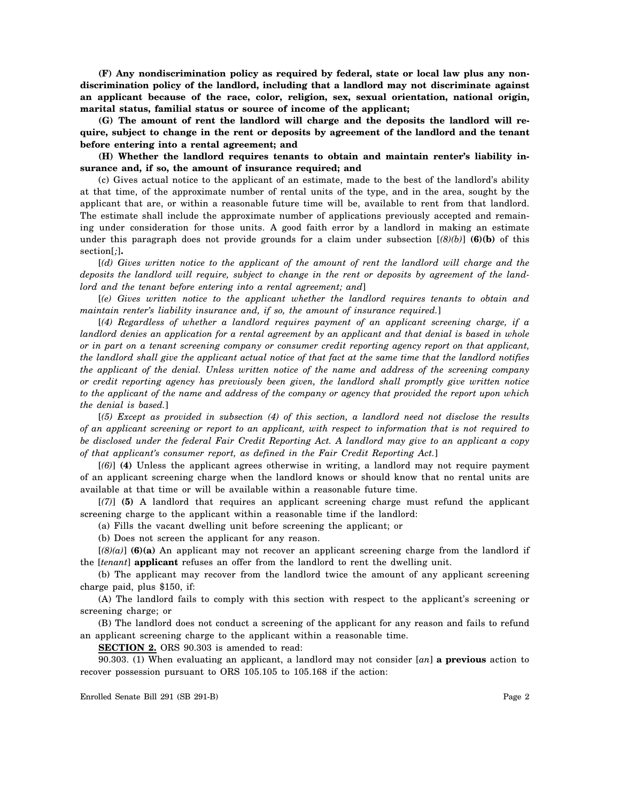**(F) Any nondiscrimination policy as required by federal, state or local law plus any nondiscrimination policy of the landlord, including that a landlord may not discriminate against an applicant because of the race, color, religion, sex, sexual orientation, national origin, marital status, familial status or source of income of the applicant;**

**(G) The amount of rent the landlord will charge and the deposits the landlord will require, subject to change in the rent or deposits by agreement of the landlord and the tenant before entering into a rental agreement; and**

**(H) Whether the landlord requires tenants to obtain and maintain renter's liability insurance and, if so, the amount of insurance required; and**

(c) Gives actual notice to the applicant of an estimate, made to the best of the landlord's ability at that time, of the approximate number of rental units of the type, and in the area, sought by the applicant that are, or within a reasonable future time will be, available to rent from that landlord. The estimate shall include the approximate number of applications previously accepted and remaining under consideration for those units. A good faith error by a landlord in making an estimate under this paragraph does not provide grounds for a claim under subsection [*(8)(b)*] **(6)(b)** of this section[*;*]**.**

[*(d) Gives written notice to the applicant of the amount of rent the landlord will charge and the deposits the landlord will require, subject to change in the rent or deposits by agreement of the landlord and the tenant before entering into a rental agreement; and*]

[*(e) Gives written notice to the applicant whether the landlord requires tenants to obtain and maintain renter's liability insurance and, if so, the amount of insurance required.*]

[*(4) Regardless of whether a landlord requires payment of an applicant screening charge, if a landlord denies an application for a rental agreement by an applicant and that denial is based in whole or in part on a tenant screening company or consumer credit reporting agency report on that applicant, the landlord shall give the applicant actual notice of that fact at the same time that the landlord notifies the applicant of the denial. Unless written notice of the name and address of the screening company or credit reporting agency has previously been given, the landlord shall promptly give written notice to the applicant of the name and address of the company or agency that provided the report upon which the denial is based.*]

[*(5) Except as provided in subsection (4) of this section, a landlord need not disclose the results of an applicant screening or report to an applicant, with respect to information that is not required to be disclosed under the federal Fair Credit Reporting Act. A landlord may give to an applicant a copy of that applicant's consumer report, as defined in the Fair Credit Reporting Act.*]

[*(6)*] **(4)** Unless the applicant agrees otherwise in writing, a landlord may not require payment of an applicant screening charge when the landlord knows or should know that no rental units are available at that time or will be available within a reasonable future time.

[*(7)*] **(5)** A landlord that requires an applicant screening charge must refund the applicant screening charge to the applicant within a reasonable time if the landlord:

(a) Fills the vacant dwelling unit before screening the applicant; or

(b) Does not screen the applicant for any reason.

[*(8)(a)*] **(6)(a)** An applicant may not recover an applicant screening charge from the landlord if the [*tenant*] **applicant** refuses an offer from the landlord to rent the dwelling unit.

(b) The applicant may recover from the landlord twice the amount of any applicant screening charge paid, plus \$150, if:

(A) The landlord fails to comply with this section with respect to the applicant's screening or screening charge; or

(B) The landlord does not conduct a screening of the applicant for any reason and fails to refund an applicant screening charge to the applicant within a reasonable time.

**SECTION 2.** ORS 90.303 is amended to read:

90.303. (1) When evaluating an applicant, a landlord may not consider [*an*] **a previous** action to recover possession pursuant to ORS 105.105 to 105.168 if the action:

Enrolled Senate Bill 291 (SB 291-B) Page 2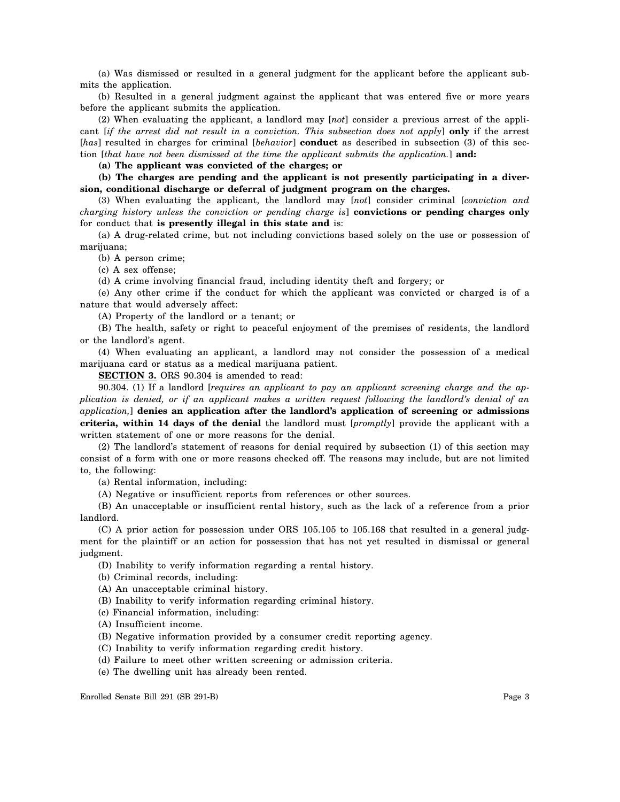(a) Was dismissed or resulted in a general judgment for the applicant before the applicant submits the application.

(b) Resulted in a general judgment against the applicant that was entered five or more years before the applicant submits the application.

(2) When evaluating the applicant, a landlord may [*not*] consider a previous arrest of the applicant [*if the arrest did not result in a conviction. This subsection does not apply*] **only** if the arrest [*has*] resulted in charges for criminal [*behavior*] **conduct** as described in subsection (3) of this section [*that have not been dismissed at the time the applicant submits the application.*] **and:**

**(a) The applicant was convicted of the charges; or**

**(b) The charges are pending and the applicant is not presently participating in a diversion, conditional discharge or deferral of judgment program on the charges.**

(3) When evaluating the applicant, the landlord may [*not*] consider criminal [*conviction and charging history unless the conviction or pending charge is*] **convictions or pending charges only** for conduct that **is presently illegal in this state and** is:

(a) A drug-related crime, but not including convictions based solely on the use or possession of marijuana;

(b) A person crime;

(c) A sex offense;

(d) A crime involving financial fraud, including identity theft and forgery; or

(e) Any other crime if the conduct for which the applicant was convicted or charged is of a nature that would adversely affect:

(A) Property of the landlord or a tenant; or

(B) The health, safety or right to peaceful enjoyment of the premises of residents, the landlord or the landlord's agent.

(4) When evaluating an applicant, a landlord may not consider the possession of a medical marijuana card or status as a medical marijuana patient.

**SECTION 3.** ORS 90.304 is amended to read:

90.304. (1) If a landlord [*requires an applicant to pay an applicant screening charge and the application is denied, or if an applicant makes a written request following the landlord's denial of an application,*] **denies an application after the landlord's application of screening or admissions criteria, within 14 days of the denial** the landlord must [*promptly*] provide the applicant with a written statement of one or more reasons for the denial.

(2) The landlord's statement of reasons for denial required by subsection (1) of this section may consist of a form with one or more reasons checked off. The reasons may include, but are not limited to, the following:

(a) Rental information, including:

(A) Negative or insufficient reports from references or other sources.

(B) An unacceptable or insufficient rental history, such as the lack of a reference from a prior landlord.

(C) A prior action for possession under ORS 105.105 to 105.168 that resulted in a general judgment for the plaintiff or an action for possession that has not yet resulted in dismissal or general judgment.

(D) Inability to verify information regarding a rental history.

(b) Criminal records, including:

(A) An unacceptable criminal history.

(B) Inability to verify information regarding criminal history.

(c) Financial information, including:

(A) Insufficient income.

(B) Negative information provided by a consumer credit reporting agency.

(C) Inability to verify information regarding credit history.

(d) Failure to meet other written screening or admission criteria.

(e) The dwelling unit has already been rented.

Enrolled Senate Bill 291 (SB 291-B) Page 3